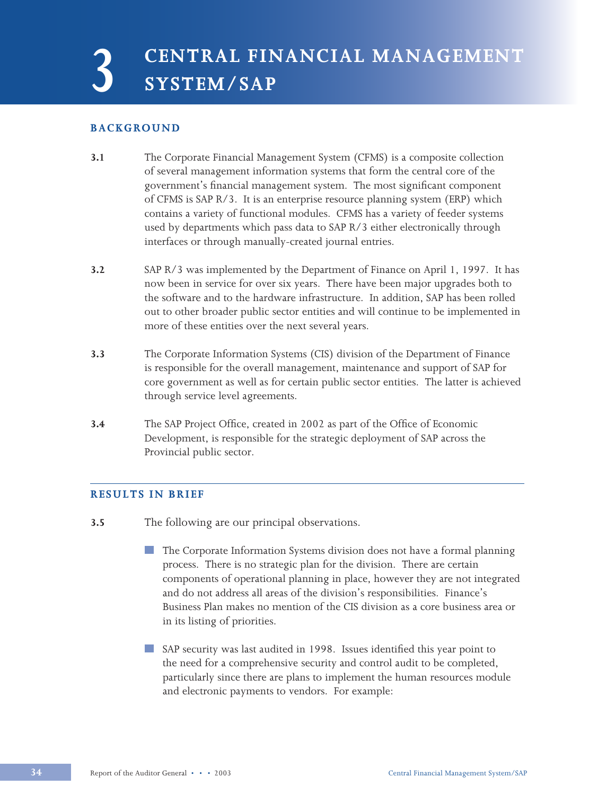**3 CENTRAL FINANCIAL MANAGEMENT SYSTEM/SAP**

# **BACKGROUND**

- **3.1** The Corporate Financial Management System (CFMS) is a composite collection of several management information systems that form the central core of the government's financial management system. The most significant component of CFMS is SAP R/3. It is an enterprise resource planning system (ERP) which contains a variety of functional modules. CFMS has a variety of feeder systems used by departments which pass data to SAP R/3 either electronically through interfaces or through manually-created journal entries.
- **3.2** SAP R/3 was implemented by the Department of Finance on April 1, 1997. It has now been in service for over six years. There have been major upgrades both to the software and to the hardware infrastructure. In addition, SAP has been rolled out to other broader public sector entities and will continue to be implemented in more of these entities over the next several years.
- **3.3** The Corporate Information Systems (CIS) division of the Department of Finance is responsible for the overall management, maintenance and support of SAP for core government as well as for certain public sector entities. The latter is achieved through service level agreements.
- **3.4** The SAP Project Office, created in 2002 as part of the Office of Economic Development, is responsible for the strategic deployment of SAP across the Provincial public sector.

# **RESULTS IN BRIEF**

- **3.5** The following are our principal observations.
	- The Corporate Information Systems division does not have a formal planning process. There is no strategic plan for the division. There are certain components of operational planning in place, however they are not integrated and do not address all areas of the division's responsibilities. Finance's Business Plan makes no mention of the CIS division as a core business area or in its listing of priorities.
	- SAP security was last audited in 1998. Issues identified this year point to the need for a comprehensive security and control audit to be completed, particularly since there are plans to implement the human resources module and electronic payments to vendors. For example: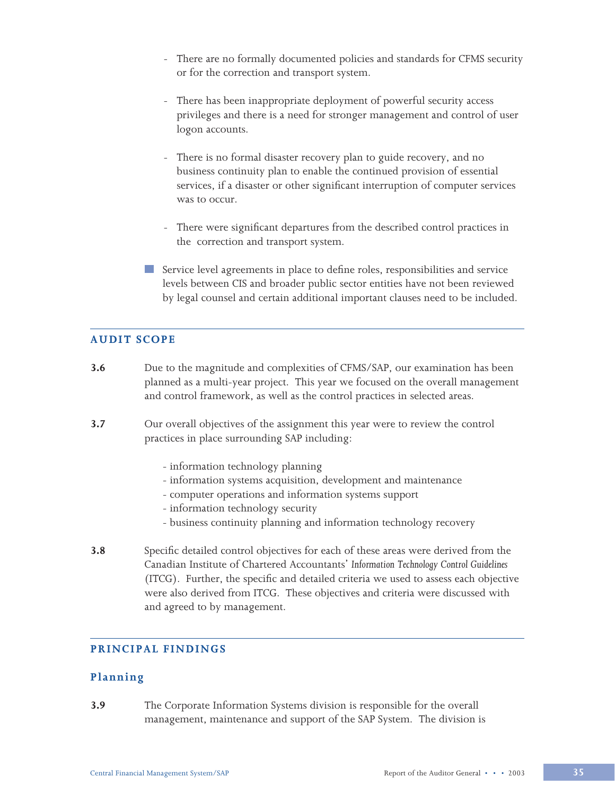- There are no formally documented policies and standards for CFMS security or for the correction and transport system.
- There has been inappropriate deployment of powerful security access privileges and there is a need for stronger management and control of user logon accounts.
- There is no formal disaster recovery plan to guide recovery, and no business continuity plan to enable the continued provision of essential services, if a disaster or other significant interruption of computer services was to occur.
- There were significant departures from the described control practices in the correction and transport system.
- Service level agreements in place to define roles, responsibilities and service levels between CIS and broader public sector entities have not been reviewed by legal counsel and certain additional important clauses need to be included.

# **AUDIT SCOPE**

- **3.6** Due to the magnitude and complexities of CFMS/SAP, our examination has been planned as a multi-year project. This year we focused on the overall management and control framework, as well as the control practices in selected areas.
- **3.7** Our overall objectives of the assignment this year were to review the control practices in place surrounding SAP including:
	- information technology planning
	- information systems acquisition, development and maintenance
	- computer operations and information systems support
	- information technology security
	- business continuity planning and information technology recovery
- **3.8** Specific detailed control objectives for each of these areas were derived from the Canadian Institute of Chartered Accountants' *Information Technology Control Guidelines* (ITCG). Further, the specific and detailed criteria we used to assess each objective were also derived from ITCG. These objectives and criteria were discussed with and agreed to by management.

# **PRINCIPAL FINDINGS**

# **Planning**

**3.9** The Corporate Information Systems division is responsible for the overall management, maintenance and support of the SAP System. The division is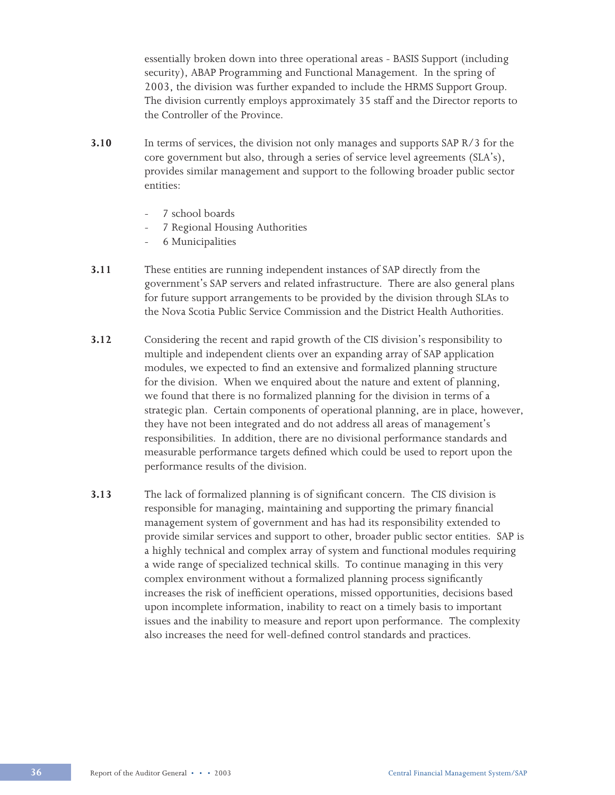essentially broken down into three operational areas - BASIS Support (including security), ABAP Programming and Functional Management. In the spring of 2003, the division was further expanded to include the HRMS Support Group. The division currently employs approximately 35 staff and the Director reports to the Controller of the Province.

- **3.10** In terms of services, the division not only manages and supports SAP R/3 for the core government but also, through a series of service level agreements (SLA's), provides similar management and support to the following broader public sector entities:
	- 7 school boards
	- 7 Regional Housing Authorities
	- 6 Municipalities
- **3.11** These entities are running independent instances of SAP directly from the government's SAP servers and related infrastructure. There are also general plans for future support arrangements to be provided by the division through SLAs to the Nova Scotia Public Service Commission and the District Health Authorities.
- **3.12** Considering the recent and rapid growth of the CIS division's responsibility to multiple and independent clients over an expanding array of SAP application modules, we expected to find an extensive and formalized planning structure for the division. When we enquired about the nature and extent of planning, we found that there is no formalized planning for the division in terms of a strategic plan. Certain components of operational planning, are in place, however, they have not been integrated and do not address all areas of management's responsibilities. In addition, there are no divisional performance standards and measurable performance targets defined which could be used to report upon the performance results of the division.
- **3.13** The lack of formalized planning is of significant concern. The CIS division is responsible for managing, maintaining and supporting the primary financial management system of government and has had its responsibility extended to provide similar services and support to other, broader public sector entities. SAP is a highly technical and complex array of system and functional modules requiring a wide range of specialized technical skills. To continue managing in this very complex environment without a formalized planning process significantly increases the risk of inefficient operations, missed opportunities, decisions based upon incomplete information, inability to react on a timely basis to important issues and the inability to measure and report upon performance. The complexity also increases the need for well-defined control standards and practices.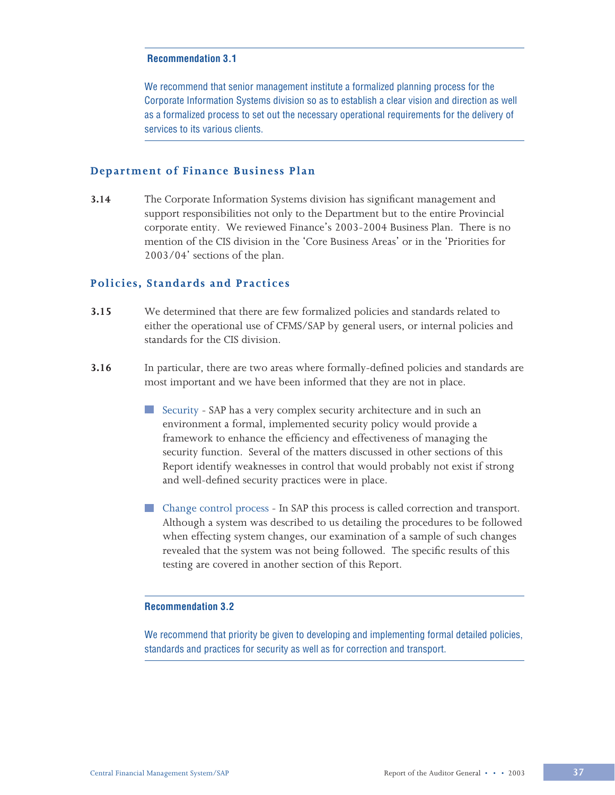We recommend that senior management institute a formalized planning process for the Corporate Information Systems division so as to establish a clear vision and direction as well as a formalized process to set out the necessary operational requirements for the delivery of services to its various clients.

### **Department of Finance Business Plan**

**3.14** The Corporate Information Systems division has significant management and support responsibilities not only to the Department but to the entire Provincial corporate entity. We reviewed Finance's 2003-2004 Business Plan. There is no mention of the CIS division in the 'Core Business Areas' or in the 'Priorities for 2003/04' sections of the plan.

# **Policies, Standards and Practices**

- **3.15** We determined that there are few formalized policies and standards related to either the operational use of CFMS/SAP by general users, or internal policies and standards for the CIS division.
- **3.16** In particular, there are two areas where formally-defined policies and standards are most important and we have been informed that they are not in place.
	- Security SAP has a very complex security architecture and in such an environment a formal, implemented security policy would provide a framework to enhance the efficiency and effectiveness of managing the security function. Several of the matters discussed in other sections of this Report identify weaknesses in control that would probably not exist if strong and well-defined security practices were in place.
	- Change control process In SAP this process is called correction and transport. Although a system was described to us detailing the procedures to be followed when effecting system changes, our examination of a sample of such changes revealed that the system was not being followed. The specific results of this testing are covered in another section of this Report.

#### **Recommendation 3.2**

We recommend that priority be given to developing and implementing formal detailed policies, standards and practices for security as well as for correction and transport.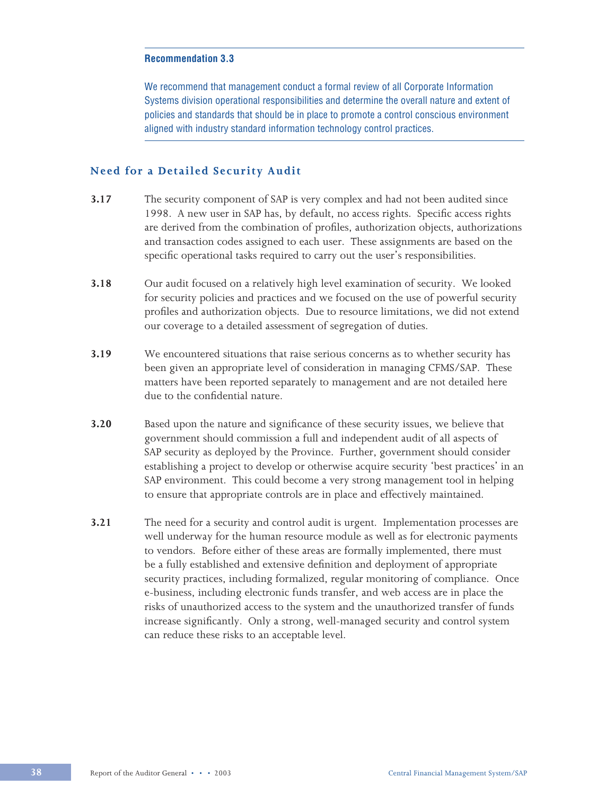We recommend that management conduct a formal review of all Corporate Information Systems division operational responsibilities and determine the overall nature and extent of policies and standards that should be in place to promote a control conscious environment aligned with industry standard information technology control practices.

## **Need for a Detailed Security Audit**

- **3.17** The security component of SAP is very complex and had not been audited since 1998. A new user in SAP has, by default, no access rights. Specific access rights are derived from the combination of profiles, authorization objects, authorizations and transaction codes assigned to each user. These assignments are based on the specific operational tasks required to carry out the user's responsibilities.
- **3.18** Our audit focused on a relatively high level examination of security. We looked for security policies and practices and we focused on the use of powerful security profiles and authorization objects. Due to resource limitations, we did not extend our coverage to a detailed assessment of segregation of duties.
- **3.19** We encountered situations that raise serious concerns as to whether security has been given an appropriate level of consideration in managing CFMS/SAP. These matters have been reported separately to management and are not detailed here due to the confidential nature.
- **3.20** Based upon the nature and significance of these security issues, we believe that government should commission a full and independent audit of all aspects of SAP security as deployed by the Province. Further, government should consider establishing a project to develop or otherwise acquire security 'best practices' in an SAP environment. This could become a very strong management tool in helping to ensure that appropriate controls are in place and effectively maintained.
- **3.21** The need for a security and control audit is urgent. Implementation processes are well underway for the human resource module as well as for electronic payments to vendors. Before either of these areas are formally implemented, there must be a fully established and extensive definition and deployment of appropriate security practices, including formalized, regular monitoring of compliance. Once e-business, including electronic funds transfer, and web access are in place the risks of unauthorized access to the system and the unauthorized transfer of funds increase significantly. Only a strong, well-managed security and control system can reduce these risks to an acceptable level.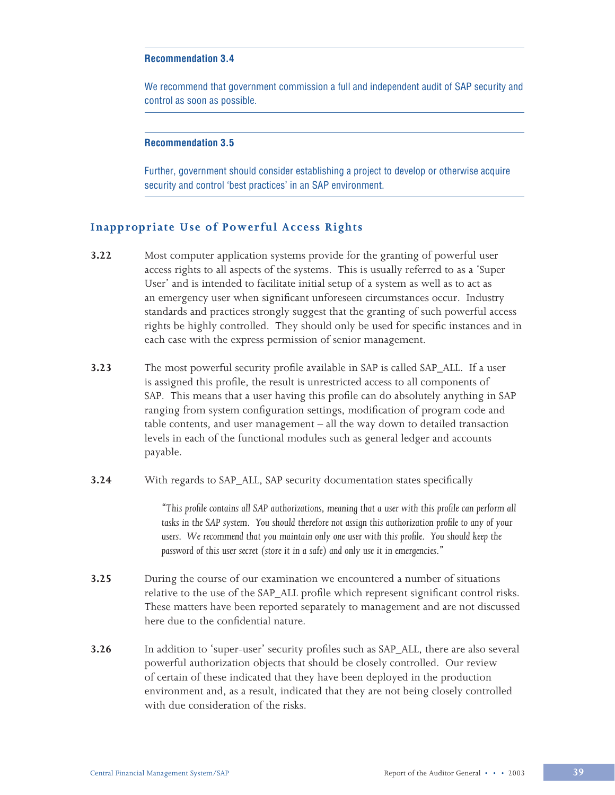We recommend that government commission a full and independent audit of SAP security and control as soon as possible.

#### **Recommendation 3.5**

Further, government should consider establishing a project to develop or otherwise acquire security and control 'best practices' in an SAP environment.

# **Inappropriate Use of Powerful Access Rights**

- **3.22** Most computer application systems provide for the granting of powerful user access rights to all aspects of the systems. This is usually referred to as a 'Super User' and is intended to facilitate initial setup of a system as well as to act as an emergency user when significant unforeseen circumstances occur. Industry standards and practices strongly suggest that the granting of such powerful access rights be highly controlled. They should only be used for specific instances and in each case with the express permission of senior management.
- **3.23** The most powerful security profile available in SAP is called SAP\_ALL. If a user is assigned this profile, the result is unrestricted access to all components of SAP. This means that a user having this profile can do absolutely anything in SAP ranging from system configuration settings, modification of program code and table contents, and user management – all the way down to detailed transaction levels in each of the functional modules such as general ledger and accounts payable.
- **3.24** With regards to SAP\_ALL, SAP security documentation states specifically

 *"This profile contains all SAP authorizations, meaning that a user with this profile can perform all tasks in the SAP system. You should therefore not assign this authorization profile to any of your users. We recommend that you maintain only one user with this profile. You should keep the password of this user secret (store it in a safe) and only use it in emergencies."*

- **3.25** During the course of our examination we encountered a number of situations relative to the use of the SAP\_ALL profile which represent significant control risks. These matters have been reported separately to management and are not discussed here due to the confidential nature.
- **3.26** In addition to 'super-user' security profiles such as SAP\_ALL, there are also several powerful authorization objects that should be closely controlled. Our review of certain of these indicated that they have been deployed in the production environment and, as a result, indicated that they are not being closely controlled with due consideration of the risks.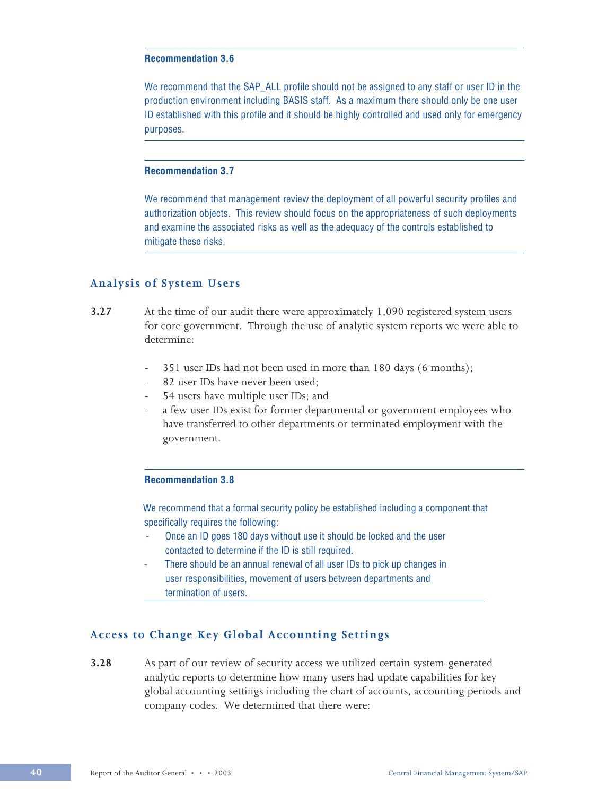We recommend that the SAP\_ALL profile should not be assigned to any staff or user ID in the production environment including BASIS staff. As a maximum there should only be one user ID established with this profile and it should be highly controlled and used only for emergency purposes.

# **Recommendation 3.7**

We recommend that management review the deployment of all powerful security profiles and authorization objects. This review should focus on the appropriateness of such deployments and examine the associated risks as well as the adequacy of the controls established to mitigate these risks.

### **Analysis of System Users**

- **3.27** At the time of our audit there were approximately 1,090 registered system users for core government. Through the use of analytic system reports we were able to determine:
	- 351 user IDs had not been used in more than 180 days (6 months);
	- 82 user IDs have never been used;
	- 54 users have multiple user IDs; and
	- a few user IDs exist for former departmental or government employees who have transferred to other departments or terminated employment with the government.

#### **Recommendation 3.8**

 We recommend that a formal security policy be established including a component that specifically requires the following:

- Once an ID goes 180 days without use it should be locked and the user contacted to determine if the ID is still required.
- There should be an annual renewal of all user IDs to pick up changes in user responsibilities, movement of users between departments and termination of users.

# **Access to Change Key Global Accounting Settings**

**3.28** As part of our review of security access we utilized certain system-generated analytic reports to determine how many users had update capabilities for key global accounting settings including the chart of accounts, accounting periods and company codes. We determined that there were: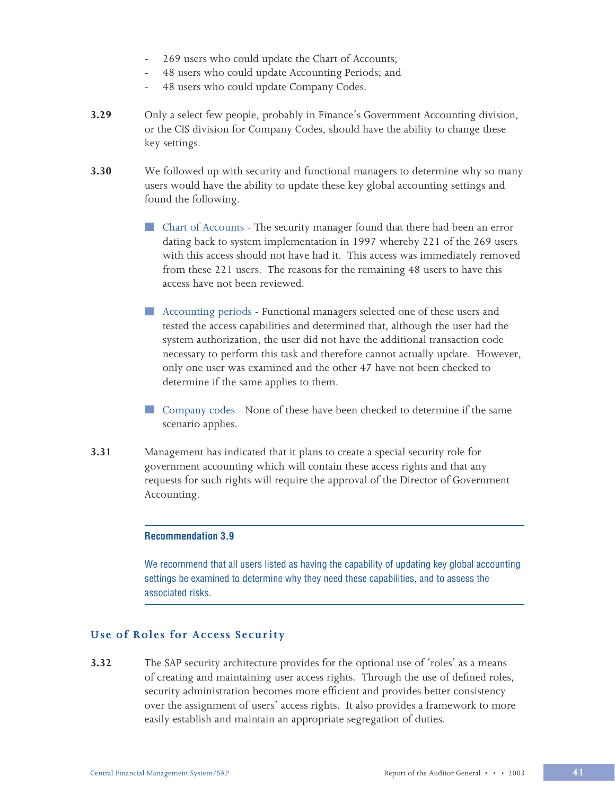- 269 users who could update the Chart of Accounts;
- 48 users who could update Accounting Periods; and
- 48 users who could update Company Codes.
- **3.29** Only a select few people, probably in Finance's Government Accounting division, or the CIS division for Company Codes, should have the ability to change these key settings.
- **3.30** We followed up with security and functional managers to determine why so many users would have the ability to update these key global accounting settings and found the following.
	- Chart of Accounts The security manager found that there had been an error dating back to system implementation in 1997 whereby 221 of the 269 users with this access should not have had it. This access was immediately removed from these 221 users. The reasons for the remaining 48 users to have this access have not been reviewed.
	- Accounting periods Functional managers selected one of these users and tested the access capabilities and determined that, although the user had the system authorization, the user did not have the additional transaction code necessary to perform this task and therefore cannot actually update. However, only one user was examined and the other 47 have not been checked to determine if the same applies to them.
	- Company codes None of these have been checked to determine if the same scenario applies.
- **3.31** Management has indicated that it plans to create a special security role for government accounting which will contain these access rights and that any requests for such rights will require the approval of the Director of Government Accounting.

We recommend that all users listed as having the capability of updating key global accounting settings be examined to determine why they need these capabilities, and to assess the associated risks.

# **Use of Roles for Access Security**

**3.32** The SAP security architecture provides for the optional use of 'roles' as a means of creating and maintaining user access rights. Through the use of defined roles, security administration becomes more efficient and provides better consistency over the assignment of users' access rights. It also provides a framework to more easily establish and maintain an appropriate segregation of duties.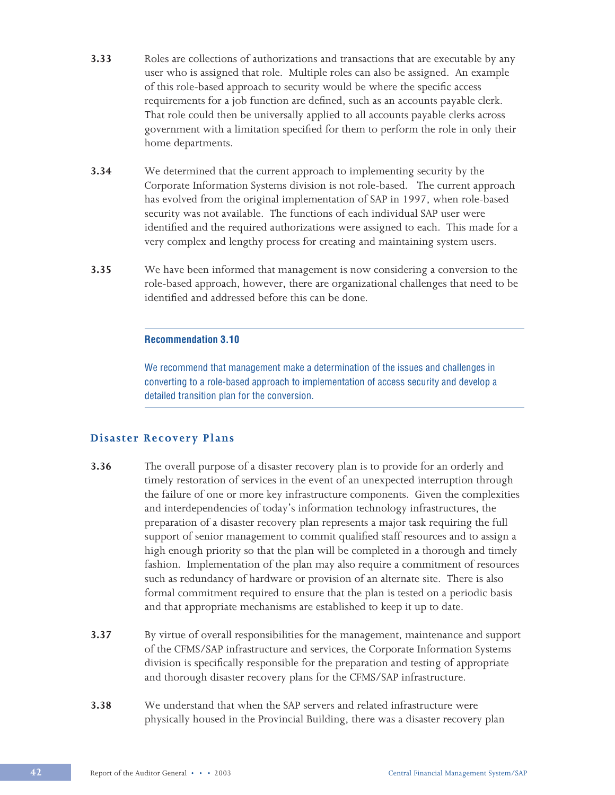- **3.33** Roles are collections of authorizations and transactions that are executable by any user who is assigned that role. Multiple roles can also be assigned. An example of this role-based approach to security would be where the specific access requirements for a job function are defined, such as an accounts payable clerk. That role could then be universally applied to all accounts payable clerks across government with a limitation specified for them to perform the role in only their home departments.
- **3.34** We determined that the current approach to implementing security by the Corporate Information Systems division is not role-based. The current approach has evolved from the original implementation of SAP in 1997, when role-based security was not available. The functions of each individual SAP user were identified and the required authorizations were assigned to each. This made for a very complex and lengthy process for creating and maintaining system users.
- **3.35** We have been informed that management is now considering a conversion to the role-based approach, however, there are organizational challenges that need to be identified and addressed before this can be done.

We recommend that management make a determination of the issues and challenges in converting to a role-based approach to implementation of access security and develop a detailed transition plan for the conversion.

# **Disaster Recovery Plans**

- **3.36** The overall purpose of a disaster recovery plan is to provide for an orderly and timely restoration of services in the event of an unexpected interruption through the failure of one or more key infrastructure components. Given the complexities and interdependencies of today's information technology infrastructures, the preparation of a disaster recovery plan represents a major task requiring the full support of senior management to commit qualified staff resources and to assign a high enough priority so that the plan will be completed in a thorough and timely fashion. Implementation of the plan may also require a commitment of resources such as redundancy of hardware or provision of an alternate site. There is also formal commitment required to ensure that the plan is tested on a periodic basis and that appropriate mechanisms are established to keep it up to date.
- **3.37** By virtue of overall responsibilities for the management, maintenance and support of the CFMS/SAP infrastructure and services, the Corporate Information Systems division is specifically responsible for the preparation and testing of appropriate and thorough disaster recovery plans for the CFMS/SAP infrastructure.
- **3.38** We understand that when the SAP servers and related infrastructure were physically housed in the Provincial Building, there was a disaster recovery plan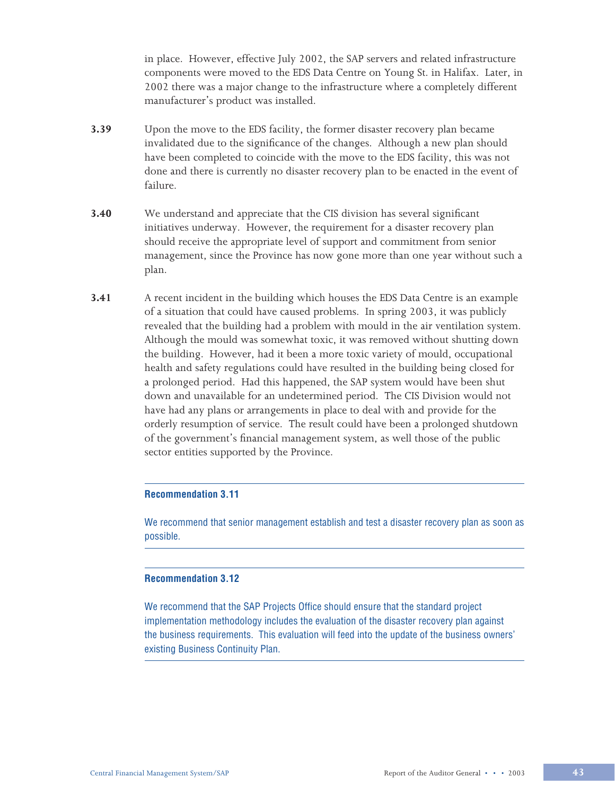in place. However, effective July 2002, the SAP servers and related infrastructure components were moved to the EDS Data Centre on Young St. in Halifax. Later, in 2002 there was a major change to the infrastructure where a completely different manufacturer's product was installed.

- **3.39** Upon the move to the EDS facility, the former disaster recovery plan became invalidated due to the significance of the changes. Although a new plan should have been completed to coincide with the move to the EDS facility, this was not done and there is currently no disaster recovery plan to be enacted in the event of failure.
- **3.40** We understand and appreciate that the CIS division has several significant initiatives underway. However, the requirement for a disaster recovery plan should receive the appropriate level of support and commitment from senior management, since the Province has now gone more than one year without such a plan.
- **3.41** A recent incident in the building which houses the EDS Data Centre is an example of a situation that could have caused problems. In spring 2003, it was publicly revealed that the building had a problem with mould in the air ventilation system. Although the mould was somewhat toxic, it was removed without shutting down the building. However, had it been a more toxic variety of mould, occupational health and safety regulations could have resulted in the building being closed for a prolonged period. Had this happened, the SAP system would have been shut down and unavailable for an undetermined period. The CIS Division would not have had any plans or arrangements in place to deal with and provide for the orderly resumption of service. The result could have been a prolonged shutdown of the government's financial management system, as well those of the public sector entities supported by the Province.

### **Recommendation 3.11**

We recommend that senior management establish and test a disaster recovery plan as soon as possible.

#### **Recommendation 3.12**

We recommend that the SAP Projects Office should ensure that the standard project implementation methodology includes the evaluation of the disaster recovery plan against the business requirements. This evaluation will feed into the update of the business owners' existing Business Continuity Plan.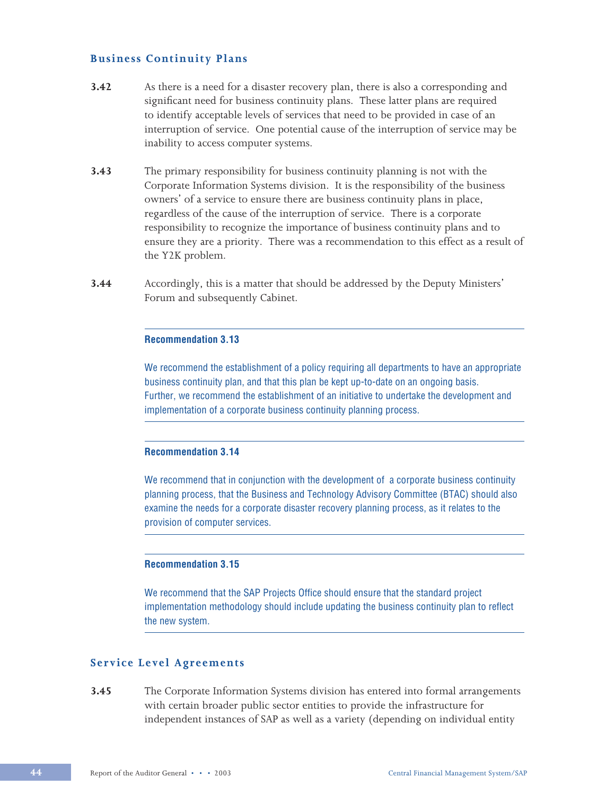## **Business Continuity Plans**

- **3.42** As there is a need for a disaster recovery plan, there is also a corresponding and significant need for business continuity plans. These latter plans are required to identify acceptable levels of services that need to be provided in case of an interruption of service. One potential cause of the interruption of service may be inability to access computer systems.
- **3.43** The primary responsibility for business continuity planning is not with the Corporate Information Systems division. It is the responsibility of the business owners' of a service to ensure there are business continuity plans in place, regardless of the cause of the interruption of service. There is a corporate responsibility to recognize the importance of business continuity plans and to ensure they are a priority. There was a recommendation to this effect as a result of the Y2K problem.
- **3.44** Accordingly, this is a matter that should be addressed by the Deputy Ministers' Forum and subsequently Cabinet.

#### **Recommendation 3.13**

We recommend the establishment of a policy requiring all departments to have an appropriate business continuity plan, and that this plan be kept up-to-date on an ongoing basis. Further, we recommend the establishment of an initiative to undertake the development and implementation of a corporate business continuity planning process.

### **Recommendation 3.14**

We recommend that in conjunction with the development of a corporate business continuity planning process, that the Business and Technology Advisory Committee (BTAC) should also examine the needs for a corporate disaster recovery planning process, as it relates to the provision of computer services.

#### **Recommendation 3.15**

We recommend that the SAP Projects Office should ensure that the standard project implementation methodology should include updating the business continuity plan to reflect the new system.

# **Service Level Agreements**

**3.45** The Corporate Information Systems division has entered into formal arrangements with certain broader public sector entities to provide the infrastructure for independent instances of SAP as well as a variety (depending on individual entity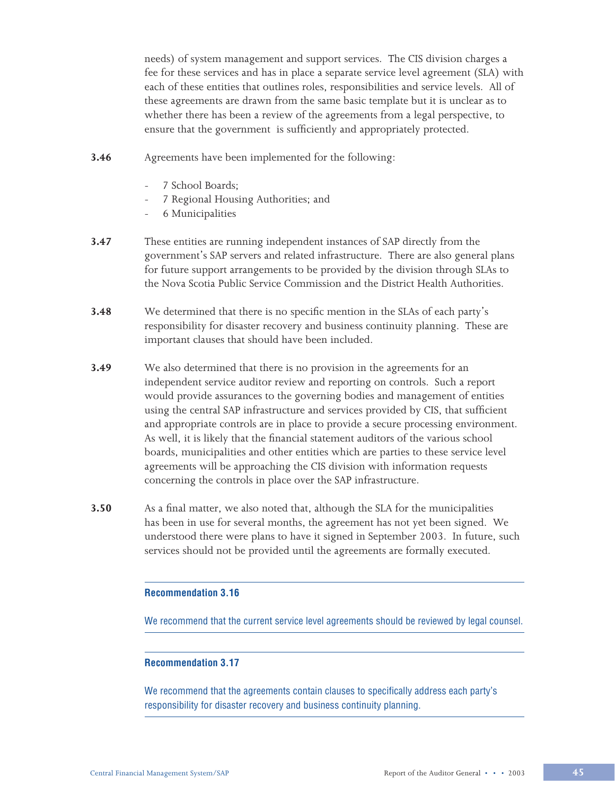needs) of system management and support services. The CIS division charges a fee for these services and has in place a separate service level agreement (SLA) with each of these entities that outlines roles, responsibilities and service levels. All of these agreements are drawn from the same basic template but it is unclear as to whether there has been a review of the agreements from a legal perspective, to ensure that the government is sufficiently and appropriately protected.

- **3.46** Agreements have been implemented for the following:
	- 7 School Boards;
	- 7 Regional Housing Authorities; and
	- 6 Municipalities
- **3.47** These entities are running independent instances of SAP directly from the government's SAP servers and related infrastructure. There are also general plans for future support arrangements to be provided by the division through SLAs to the Nova Scotia Public Service Commission and the District Health Authorities.
- **3.48** We determined that there is no specific mention in the SLAs of each party's responsibility for disaster recovery and business continuity planning. These are important clauses that should have been included.
- **3.49** We also determined that there is no provision in the agreements for an independent service auditor review and reporting on controls. Such a report would provide assurances to the governing bodies and management of entities using the central SAP infrastructure and services provided by CIS, that sufficient and appropriate controls are in place to provide a secure processing environment. As well, it is likely that the financial statement auditors of the various school boards, municipalities and other entities which are parties to these service level agreements will be approaching the CIS division with information requests concerning the controls in place over the SAP infrastructure.
- **3.50** As a final matter, we also noted that, although the SLA for the municipalities has been in use for several months, the agreement has not yet been signed. We understood there were plans to have it signed in September 2003. In future, such services should not be provided until the agreements are formally executed.

#### **Recommendation 3.16**

We recommend that the current service level agreements should be reviewed by legal counsel.

#### **Recommendation 3.17**

We recommend that the agreements contain clauses to specifically address each party's responsibility for disaster recovery and business continuity planning.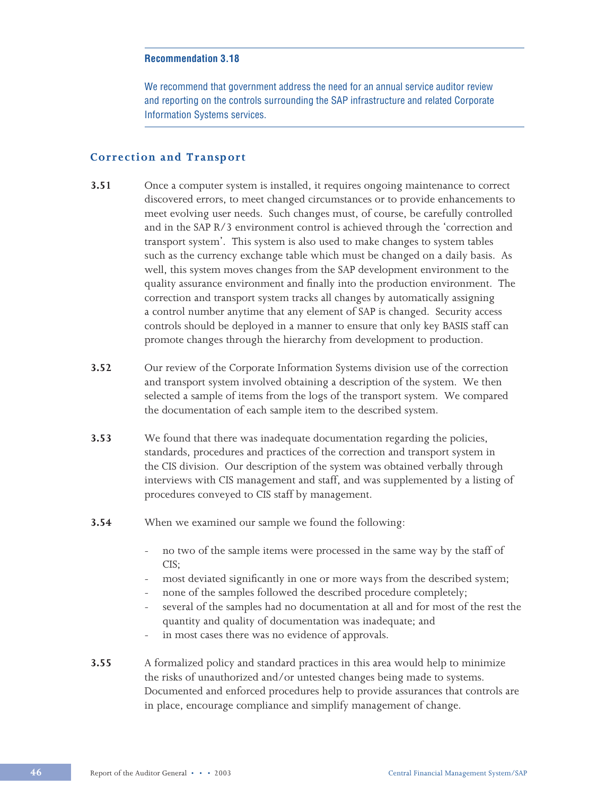We recommend that government address the need for an annual service auditor review and reporting on the controls surrounding the SAP infrastructure and related Corporate Information Systems services.

## **Correction and Transport**

- **3.51** Once a computer system is installed, it requires ongoing maintenance to correct discovered errors, to meet changed circumstances or to provide enhancements to meet evolving user needs. Such changes must, of course, be carefully controlled and in the SAP R/3 environment control is achieved through the 'correction and transport system'. This system is also used to make changes to system tables such as the currency exchange table which must be changed on a daily basis. As well, this system moves changes from the SAP development environment to the quality assurance environment and finally into the production environment. The correction and transport system tracks all changes by automatically assigning a control number anytime that any element of SAP is changed. Security access controls should be deployed in a manner to ensure that only key BASIS staff can promote changes through the hierarchy from development to production.
- **3.52** Our review of the Corporate Information Systems division use of the correction and transport system involved obtaining a description of the system. We then selected a sample of items from the logs of the transport system. We compared the documentation of each sample item to the described system.
- **3.53** We found that there was inadequate documentation regarding the policies, standards, procedures and practices of the correction and transport system in the CIS division. Our description of the system was obtained verbally through interviews with CIS management and staff, and was supplemented by a listing of procedures conveyed to CIS staff by management.
- **3.54** When we examined our sample we found the following:
	- no two of the sample items were processed in the same way by the staff of CIS;
	- most deviated significantly in one or more ways from the described system;
	- none of the samples followed the described procedure completely;
	- several of the samples had no documentation at all and for most of the rest the quantity and quality of documentation was inadequate; and
	- in most cases there was no evidence of approvals.
- **3.55** A formalized policy and standard practices in this area would help to minimize the risks of unauthorized and/or untested changes being made to systems. Documented and enforced procedures help to provide assurances that controls are in place, encourage compliance and simplify management of change.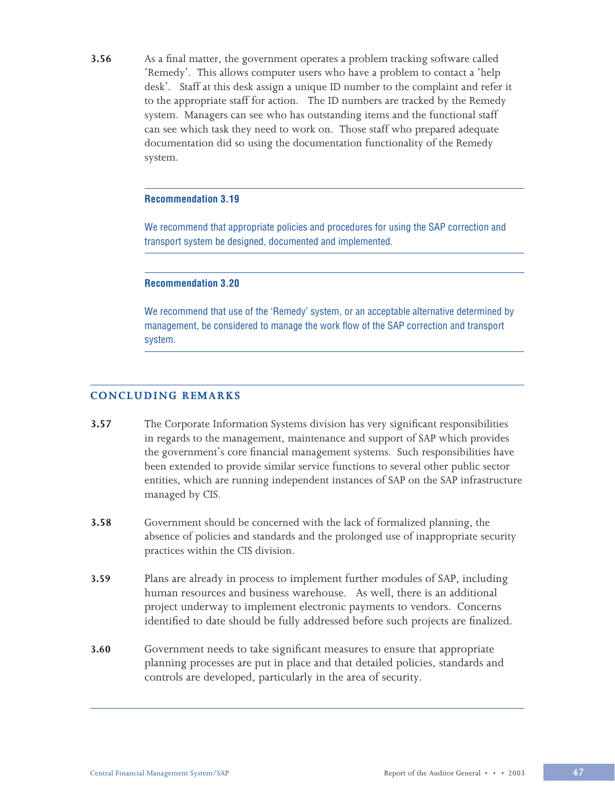**3.56** As a final matter, the government operates a problem tracking software called 'Remedy'. This allows computer users who have a problem to contact a 'help desk'. Staff at this desk assign a unique ID number to the complaint and refer it to the appropriate staff for action. The ID numbers are tracked by the Remedy system. Managers can see who has outstanding items and the functional staff can see which task they need to work on. Those staff who prepared adequate documentation did so using the documentation functionality of the Remedy system.

#### **Recommendation 3.19**

We recommend that appropriate policies and procedures for using the SAP correction and transport system be designed, documented and implemented.

#### **Recommendation 3.20**

We recommend that use of the 'Remedy' system, or an acceptable alternative determined by management, be considered to manage the work flow of the SAP correction and transport system.

## **CONCLUDING REMARKS**

- **3.57** The Corporate Information Systems division has very significant responsibilities in regards to the management, maintenance and support of SAP which provides the government's core financial management systems. Such responsibilities have been extended to provide similar service functions to several other public sector entities, which are running independent instances of SAP on the SAP infrastructure managed by CIS.
- **3.58** Government should be concerned with the lack of formalized planning, the absence of policies and standards and the prolonged use of inappropriate security practices within the CIS division.
- **3.59** Plans are already in process to implement further modules of SAP, including human resources and business warehouse. As well, there is an additional project underway to implement electronic payments to vendors. Concerns identified to date should be fully addressed before such projects are finalized.
- **3.60** Government needs to take significant measures to ensure that appropriate planning processes are put in place and that detailed policies, standards and controls are developed, particularly in the area of security.